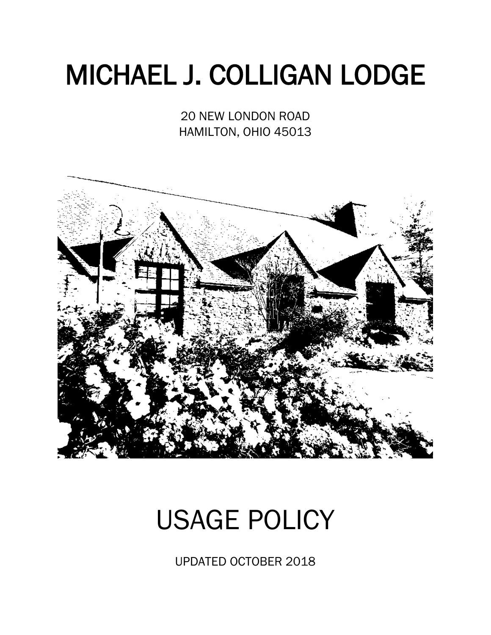# MICHAEL J. COLLIGAN LODGE

20 NEW LONDON ROAD HAMILTON, OHIO 45013



## USAGE POLICY

UPDATED OCTOBER 2018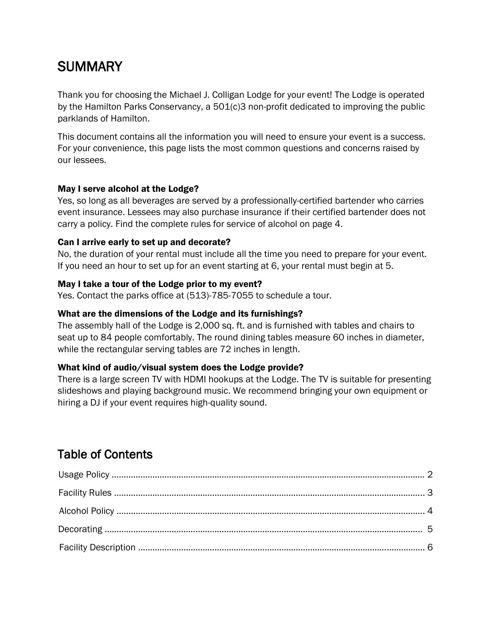### **SUMMARY**

Thank you for choosing the Michael J. Colligan Lodge for your event! The Lodge is operated by the Hamilton Parks Conservancy, a 501(c)3 non-profit dedicated to improving the public parklands of Hamilton.

This document contains all the information you will need to ensure your event is a success. For your convenience, this page lists the most common questions and concerns raised by our lessees.

### May I serve alcohol at the Lodge?

Yes, so long as all beverages are served by a professionally-certified bartender who carries event insurance. Lessees may also purchase insurance if their certified bartender does not carry a policy. Find the complete rules for service of alcohol on page 4.

### Can I arrive early to set up and decorate?

No, the duration of your rental must include all the time you need to prepare for your event. If you need an hour to set up for an event starting at 6, your rental must begin at 5.

### May I take a tour of the Lodge prior to my event?

Yes. Contact the parks office at (513)-785-7055 to schedule a tour.

### What are the dimensions of the Lodge and its furnishings?

The assembly hall of the Lodge is 2,000 sq. ft. and is furnished with tables and chairs to seat up to 84 people comfortably. The round dining tables measure 60 inches in diameter, while the rectangular serving tables are 72 inches in length.

### What kind of audio/visual system does the Lodge provide?

There is a large screen TV with HDMI hookups at the Lodge. The TV is suitable for presenting slideshows and playing background music. We recommend bringing your own equipment or hiring a DJ if your event requires high-quality sound.

### Table of Contents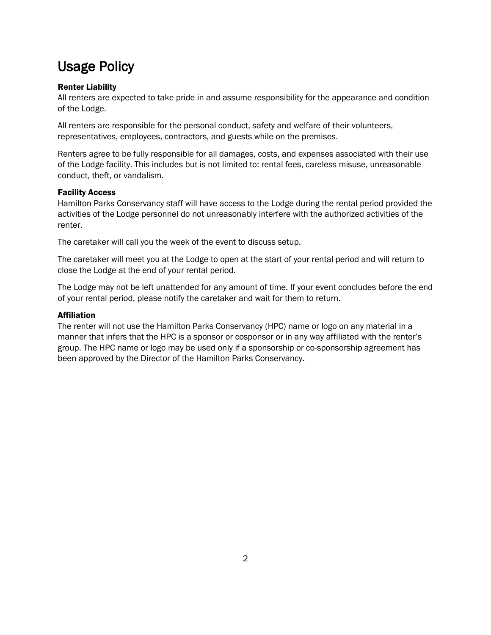### Usage Policy

### Renter Liability

All renters are expected to take pride in and assume responsibility for the appearance and condition of the Lodge.

All renters are responsible for the personal conduct, safety and welfare of their volunteers, representatives, employees, contractors, and guests while on the premises.

Renters agree to be fully responsible for all damages, costs, and expenses associated with their use of the Lodge facility. This includes but is not limited to: rental fees, careless misuse, unreasonable conduct, theft, or vandalism.

#### Facility Access

Hamilton Parks Conservancy staff will have access to the Lodge during the rental period provided the activities of the Lodge personnel do not unreasonably interfere with the authorized activities of the renter.

The caretaker will call you the week of the event to discuss setup.

The caretaker will meet you at the Lodge to open at the start of your rental period and will return to close the Lodge at the end of your rental period.

The Lodge may not be left unattended for any amount of time. If your event concludes before the end of your rental period, please notify the caretaker and wait for them to return.

#### **Affiliation**

The renter will not use the Hamilton Parks Conservancy (HPC) name or logo on any material in a manner that infers that the HPC is a sponsor or cosponsor or in any way affiliated with the renter's group. The HPC name or logo may be used only if a sponsorship or co-sponsorship agreement has been approved by the Director of the Hamilton Parks Conservancy.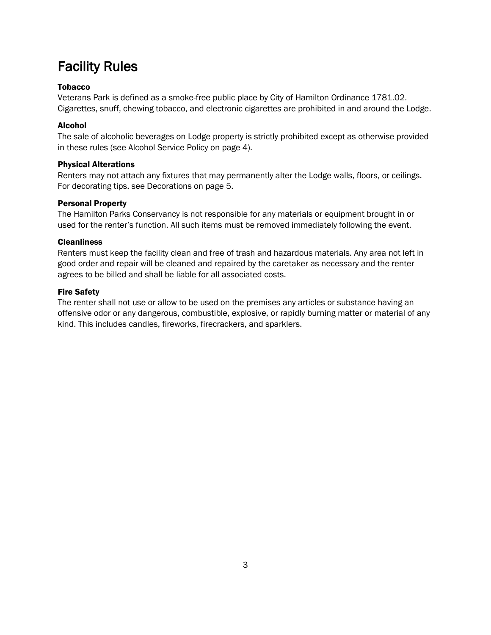### Facility Rules

### Tobacco

Veterans Park is defined as a smoke-free public place by City of Hamilton Ordinance 1781.02. Cigarettes, snuff, chewing tobacco, and electronic cigarettes are prohibited in and around the Lodge.

### Alcohol

The sale of alcoholic beverages on Lodge property is strictly prohibited except as otherwise provided in these rules (see Alcohol Service Policy on page 4).

### Physical Alterations

Renters may not attach any fixtures that may permanently alter the Lodge walls, floors, or ceilings. For decorating tips, see Decorations on page 5.

#### Personal Property

The Hamilton Parks Conservancy is not responsible for any materials or equipment brought in or used for the renter's function. All such items must be removed immediately following the event.

#### **Cleanliness**

Renters must keep the facility clean and free of trash and hazardous materials. Any area not left in good order and repair will be cleaned and repaired by the caretaker as necessary and the renter agrees to be billed and shall be liable for all associated costs.

#### Fire Safety

The renter shall not use or allow to be used on the premises any articles or substance having an offensive odor or any dangerous, combustible, explosive, or rapidly burning matter or material of any kind. This includes candles, fireworks, firecrackers, and sparklers.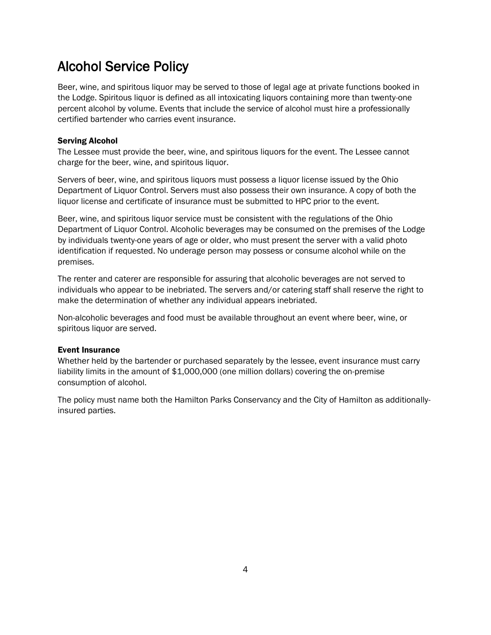### Alcohol Service Policy

Beer, wine, and spiritous liquor may be served to those of legal age at private functions booked in the Lodge. Spiritous liquor is defined as all intoxicating liquors containing more than twenty-one percent alcohol by volume. Events that include the service of alcohol must hire a professionally certified bartender who carries event insurance.

#### Serving Alcohol

The Lessee must provide the beer, wine, and spiritous liquors for the event. The Lessee cannot charge for the beer, wine, and spiritous liquor.

Servers of beer, wine, and spiritous liquors must possess a liquor license issued by the Ohio Department of Liquor Control. Servers must also possess their own insurance. A copy of both the liquor license and certificate of insurance must be submitted to HPC prior to the event.

Beer, wine, and spiritous liquor service must be consistent with the regulations of the Ohio Department of Liquor Control. Alcoholic beverages may be consumed on the premises of the Lodge by individuals twenty-one years of age or older, who must present the server with a valid photo identification if requested. No underage person may possess or consume alcohol while on the premises.

The renter and caterer are responsible for assuring that alcoholic beverages are not served to individuals who appear to be inebriated. The servers and/or catering staff shall reserve the right to make the determination of whether any individual appears inebriated.

Non-alcoholic beverages and food must be available throughout an event where beer, wine, or spiritous liquor are served.

#### Event Insurance

Whether held by the bartender or purchased separately by the lessee, event insurance must carry liability limits in the amount of \$1,000,000 (one million dollars) covering the on-premise consumption of alcohol.

The policy must name both the Hamilton Parks Conservancy and the City of Hamilton as additionallyinsured parties.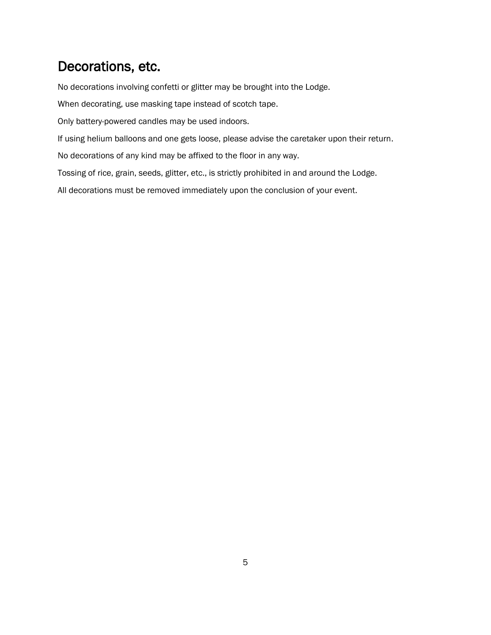### Decorations, etc.

No decorations involving confetti or glitter may be brought into the Lodge.

When decorating, use masking tape instead of scotch tape.

Only battery-powered candles may be used indoors.

If using helium balloons and one gets loose, please advise the caretaker upon their return.

No decorations of any kind may be affixed to the floor in any way.

Tossing of rice, grain, seeds, glitter, etc., is strictly prohibited in and around the Lodge.

All decorations must be removed immediately upon the conclusion of your event.